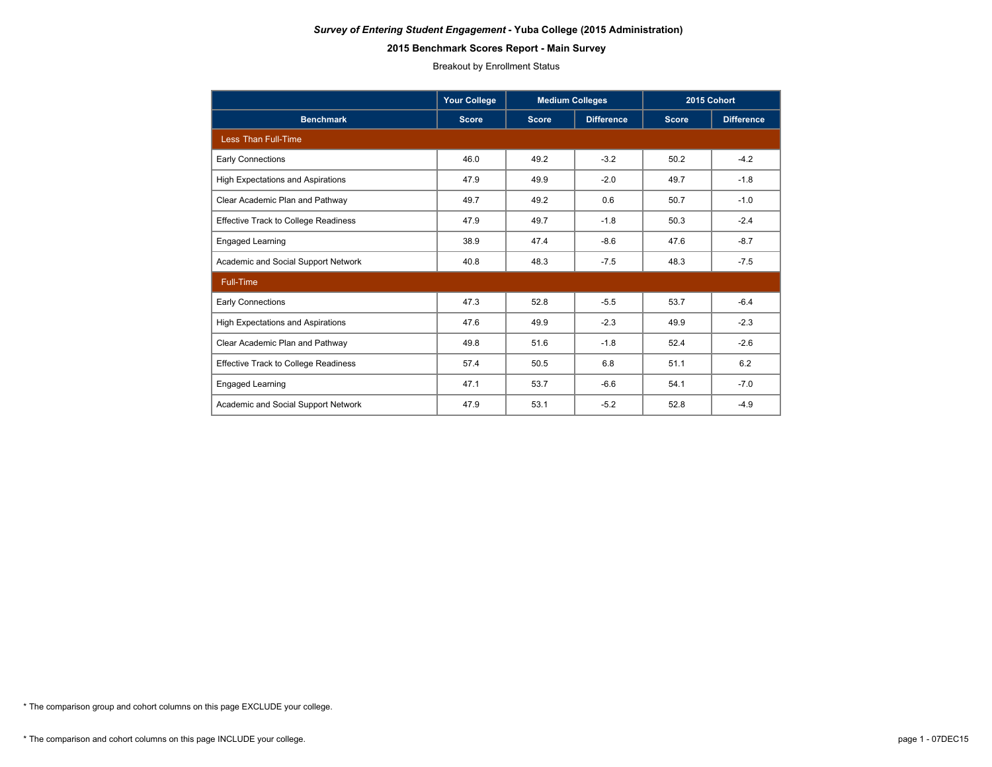## **2015 Benchmark Scores Report - Main Survey**

Breakout by Enrollment Status

|                                             | <b>Your College</b> | <b>Medium Colleges</b> |                   | 2015 Cohort  |                   |  |
|---------------------------------------------|---------------------|------------------------|-------------------|--------------|-------------------|--|
| <b>Benchmark</b>                            | <b>Score</b>        | <b>Score</b>           | <b>Difference</b> | <b>Score</b> | <b>Difference</b> |  |
| <b>Less Than Full-Time</b>                  |                     |                        |                   |              |                   |  |
| Early Connections                           | 46.0                | 49.2                   | $-3.2$            | 50.2         | $-4.2$            |  |
| <b>High Expectations and Aspirations</b>    | 47.9                | 49.9                   | $-2.0$            | 49.7         | $-1.8$            |  |
| Clear Academic Plan and Pathway             | 49.7                | 49.2                   | 0.6               | 50.7         | $-1.0$            |  |
| <b>Effective Track to College Readiness</b> | 47.9                | 49.7                   | $-1.8$            | 50.3         | $-2.4$            |  |
| <b>Engaged Learning</b>                     | 38.9                | 47.4                   | $-8.6$            | 47.6         | $-8.7$            |  |
| Academic and Social Support Network         | 40.8                | 48.3                   | $-7.5$            | 48.3         | $-7.5$            |  |
| Full-Time                                   |                     |                        |                   |              |                   |  |
| <b>Early Connections</b>                    | 47.3                | 52.8                   | $-5.5$            | 53.7         | $-6.4$            |  |
| <b>High Expectations and Aspirations</b>    | 47.6                | 49.9                   | $-2.3$            | 49.9         | $-2.3$            |  |
| Clear Academic Plan and Pathway             | 49.8                | 51.6                   | $-1.8$            | 52.4         | $-2.6$            |  |
| <b>Effective Track to College Readiness</b> | 57.4                | 50.5                   | 6.8               | 51.1         | 6.2               |  |
| Engaged Learning                            | 47.1                | 53.7                   | $-6.6$            | 54.1         | $-7.0$            |  |
| Academic and Social Support Network         | 47.9                | 53.1                   | $-5.2$            | 52.8         | $-4.9$            |  |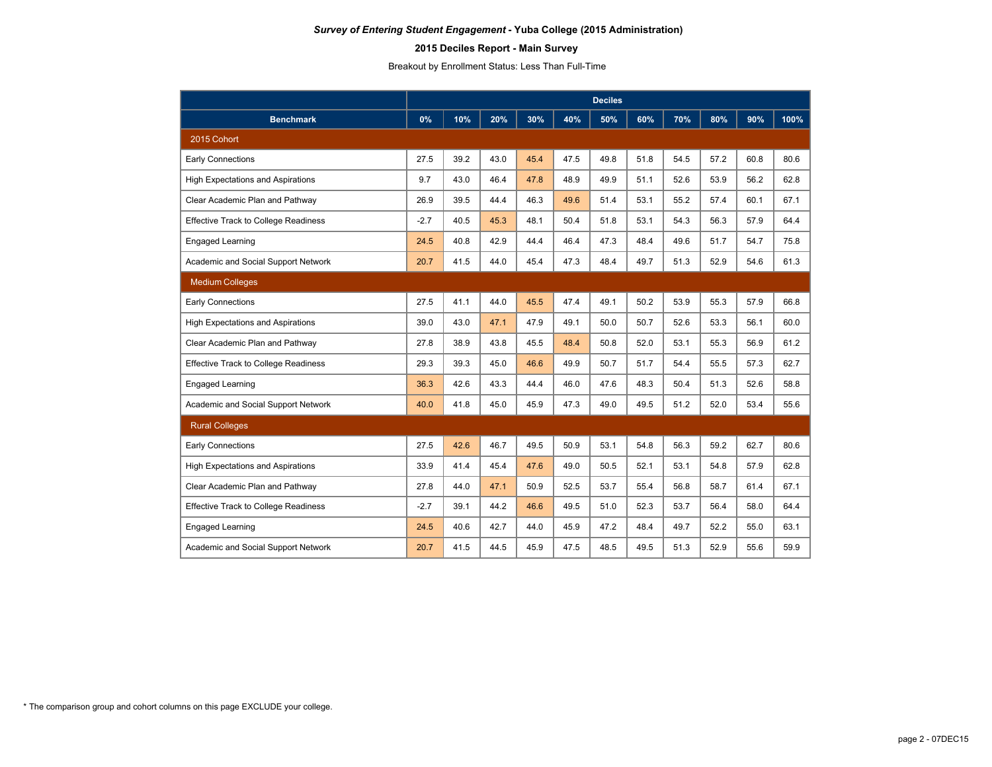# **2015 Deciles Report - Main Survey**

Breakout by Enrollment Status: Less Than Full-Time

|                                             | <b>Deciles</b> |      |      |      |      |      |      |      |      |      |      |
|---------------------------------------------|----------------|------|------|------|------|------|------|------|------|------|------|
| <b>Benchmark</b>                            | 0%             | 10%  | 20%  | 30%  | 40%  | 50%  | 60%  | 70%  | 80%  | 90%  | 100% |
| 2015 Cohort                                 |                |      |      |      |      |      |      |      |      |      |      |
| <b>Early Connections</b>                    | 27.5           | 39.2 | 43.0 | 45.4 | 47.5 | 49.8 | 51.8 | 54.5 | 57.2 | 60.8 | 80.6 |
| <b>High Expectations and Aspirations</b>    | 9.7            | 43.0 | 46.4 | 47.8 | 48.9 | 49.9 | 51.1 | 52.6 | 53.9 | 56.2 | 62.8 |
| Clear Academic Plan and Pathway             | 26.9           | 39.5 | 44.4 | 46.3 | 49.6 | 51.4 | 53.1 | 55.2 | 57.4 | 60.1 | 67.1 |
| <b>Effective Track to College Readiness</b> | $-2.7$         | 40.5 | 45.3 | 48.1 | 50.4 | 51.8 | 53.1 | 54.3 | 56.3 | 57.9 | 64.4 |
| Engaged Learning                            | 24.5           | 40.8 | 42.9 | 44.4 | 46.4 | 47.3 | 48.4 | 49.6 | 51.7 | 54.7 | 75.8 |
| Academic and Social Support Network         | 20.7           | 41.5 | 44.0 | 45.4 | 47.3 | 48.4 | 49.7 | 51.3 | 52.9 | 54.6 | 61.3 |
| <b>Medium Colleges</b>                      |                |      |      |      |      |      |      |      |      |      |      |
| <b>Early Connections</b>                    | 27.5           | 41.1 | 44.0 | 45.5 | 47.4 | 49.1 | 50.2 | 53.9 | 55.3 | 57.9 | 66.8 |
| <b>High Expectations and Aspirations</b>    | 39.0           | 43.0 | 47.1 | 47.9 | 49.1 | 50.0 | 50.7 | 52.6 | 53.3 | 56.1 | 60.0 |
| Clear Academic Plan and Pathway             | 27.8           | 38.9 | 43.8 | 45.5 | 48.4 | 50.8 | 52.0 | 53.1 | 55.3 | 56.9 | 61.2 |
| <b>Effective Track to College Readiness</b> | 29.3           | 39.3 | 45.0 | 46.6 | 49.9 | 50.7 | 51.7 | 54.4 | 55.5 | 57.3 | 62.7 |
| Engaged Learning                            | 36.3           | 42.6 | 43.3 | 44.4 | 46.0 | 47.6 | 48.3 | 50.4 | 51.3 | 52.6 | 58.8 |
| Academic and Social Support Network         | 40.0           | 41.8 | 45.0 | 45.9 | 47.3 | 49.0 | 49.5 | 51.2 | 52.0 | 53.4 | 55.6 |
| <b>Rural Colleges</b>                       |                |      |      |      |      |      |      |      |      |      |      |
| <b>Early Connections</b>                    | 27.5           | 42.6 | 46.7 | 49.5 | 50.9 | 53.1 | 54.8 | 56.3 | 59.2 | 62.7 | 80.6 |
| <b>High Expectations and Aspirations</b>    | 33.9           | 41.4 | 45.4 | 47.6 | 49.0 | 50.5 | 52.1 | 53.1 | 54.8 | 57.9 | 62.8 |
| Clear Academic Plan and Pathway             | 27.8           | 44.0 | 47.1 | 50.9 | 52.5 | 53.7 | 55.4 | 56.8 | 58.7 | 61.4 | 67.1 |
| <b>Effective Track to College Readiness</b> | $-2.7$         | 39.1 | 44.2 | 46.6 | 49.5 | 51.0 | 52.3 | 53.7 | 56.4 | 58.0 | 64.4 |
| <b>Engaged Learning</b>                     | 24.5           | 40.6 | 42.7 | 44.0 | 45.9 | 47.2 | 48.4 | 49.7 | 52.2 | 55.0 | 63.1 |
| Academic and Social Support Network         | 20.7           | 41.5 | 44.5 | 45.9 | 47.5 | 48.5 | 49.5 | 51.3 | 52.9 | 55.6 | 59.9 |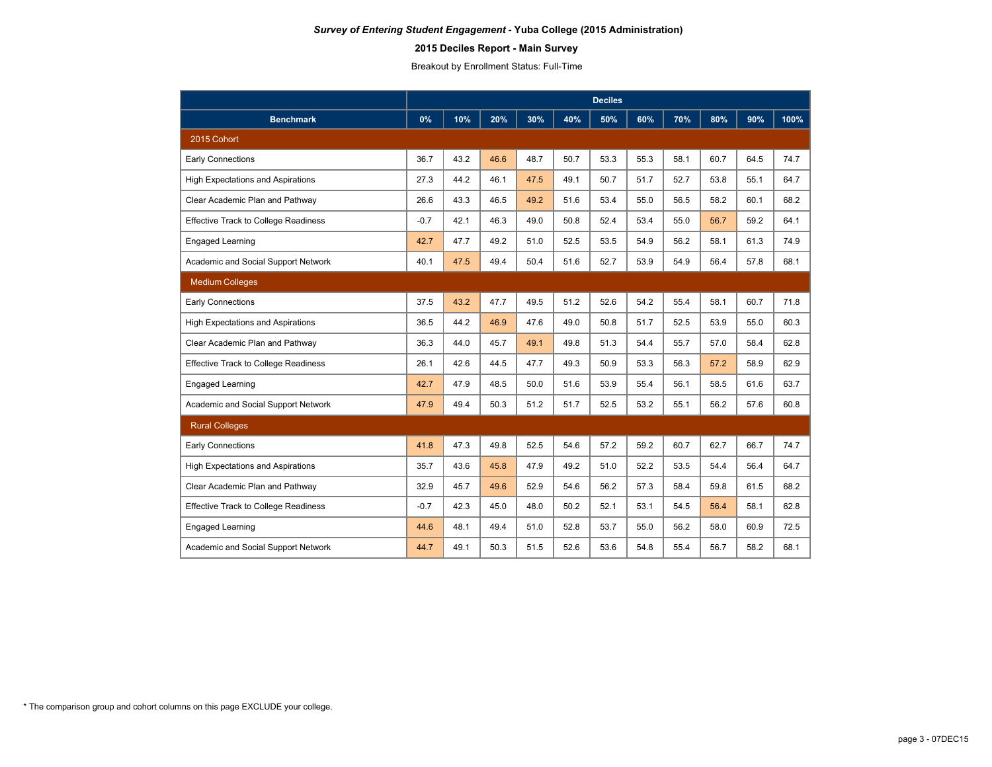## **2015 Deciles Report - Main Survey**

Breakout by Enrollment Status: Full-Time

|                                             | <b>Deciles</b> |      |      |      |      |      |      |      |      |      |      |
|---------------------------------------------|----------------|------|------|------|------|------|------|------|------|------|------|
| <b>Benchmark</b>                            | 0%             | 10%  | 20%  | 30%  | 40%  | 50%  | 60%  | 70%  | 80%  | 90%  | 100% |
| 2015 Cohort                                 |                |      |      |      |      |      |      |      |      |      |      |
| <b>Early Connections</b>                    | 36.7           | 43.2 | 46.6 | 48.7 | 50.7 | 53.3 | 55.3 | 58.1 | 60.7 | 64.5 | 74.7 |
| <b>High Expectations and Aspirations</b>    | 27.3           | 44.2 | 46.1 | 47.5 | 49.1 | 50.7 | 51.7 | 52.7 | 53.8 | 55.1 | 64.7 |
| Clear Academic Plan and Pathway             | 26.6           | 43.3 | 46.5 | 49.2 | 51.6 | 53.4 | 55.0 | 56.5 | 58.2 | 60.1 | 68.2 |
| <b>Effective Track to College Readiness</b> | $-0.7$         | 42.1 | 46.3 | 49.0 | 50.8 | 52.4 | 53.4 | 55.0 | 56.7 | 59.2 | 64.1 |
| <b>Engaged Learning</b>                     | 42.7           | 47.7 | 49.2 | 51.0 | 52.5 | 53.5 | 54.9 | 56.2 | 58.1 | 61.3 | 74.9 |
| Academic and Social Support Network         | 40.1           | 47.5 | 49.4 | 50.4 | 51.6 | 52.7 | 53.9 | 54.9 | 56.4 | 57.8 | 68.1 |
| <b>Medium Colleges</b>                      |                |      |      |      |      |      |      |      |      |      |      |
| <b>Early Connections</b>                    | 37.5           | 43.2 | 47.7 | 49.5 | 51.2 | 52.6 | 54.2 | 55.4 | 58.1 | 60.7 | 71.8 |
| <b>High Expectations and Aspirations</b>    | 36.5           | 44.2 | 46.9 | 47.6 | 49.0 | 50.8 | 51.7 | 52.5 | 53.9 | 55.0 | 60.3 |
| Clear Academic Plan and Pathway             | 36.3           | 44.0 | 45.7 | 49.1 | 49.8 | 51.3 | 54.4 | 55.7 | 57.0 | 58.4 | 62.8 |
| <b>Effective Track to College Readiness</b> | 26.1           | 42.6 | 44.5 | 47.7 | 49.3 | 50.9 | 53.3 | 56.3 | 57.2 | 58.9 | 62.9 |
| <b>Engaged Learning</b>                     | 42.7           | 47.9 | 48.5 | 50.0 | 51.6 | 53.9 | 55.4 | 56.1 | 58.5 | 61.6 | 63.7 |
| Academic and Social Support Network         | 47.9           | 49.4 | 50.3 | 51.2 | 51.7 | 52.5 | 53.2 | 55.1 | 56.2 | 57.6 | 60.8 |
| <b>Rural Colleges</b>                       |                |      |      |      |      |      |      |      |      |      |      |
| <b>Early Connections</b>                    | 41.8           | 47.3 | 49.8 | 52.5 | 54.6 | 57.2 | 59.2 | 60.7 | 62.7 | 66.7 | 74.7 |
| <b>High Expectations and Aspirations</b>    | 35.7           | 43.6 | 45.8 | 47.9 | 49.2 | 51.0 | 52.2 | 53.5 | 54.4 | 56.4 | 64.7 |
| Clear Academic Plan and Pathway             | 32.9           | 45.7 | 49.6 | 52.9 | 54.6 | 56.2 | 57.3 | 58.4 | 59.8 | 61.5 | 68.2 |
| <b>Effective Track to College Readiness</b> | $-0.7$         | 42.3 | 45.0 | 48.0 | 50.2 | 52.1 | 53.1 | 54.5 | 56.4 | 58.1 | 62.8 |
| <b>Engaged Learning</b>                     | 44.6           | 48.1 | 49.4 | 51.0 | 52.8 | 53.7 | 55.0 | 56.2 | 58.0 | 60.9 | 72.5 |
| Academic and Social Support Network         | 44.7           | 49.1 | 50.3 | 51.5 | 52.6 | 53.6 | 54.8 | 55.4 | 56.7 | 58.2 | 68.1 |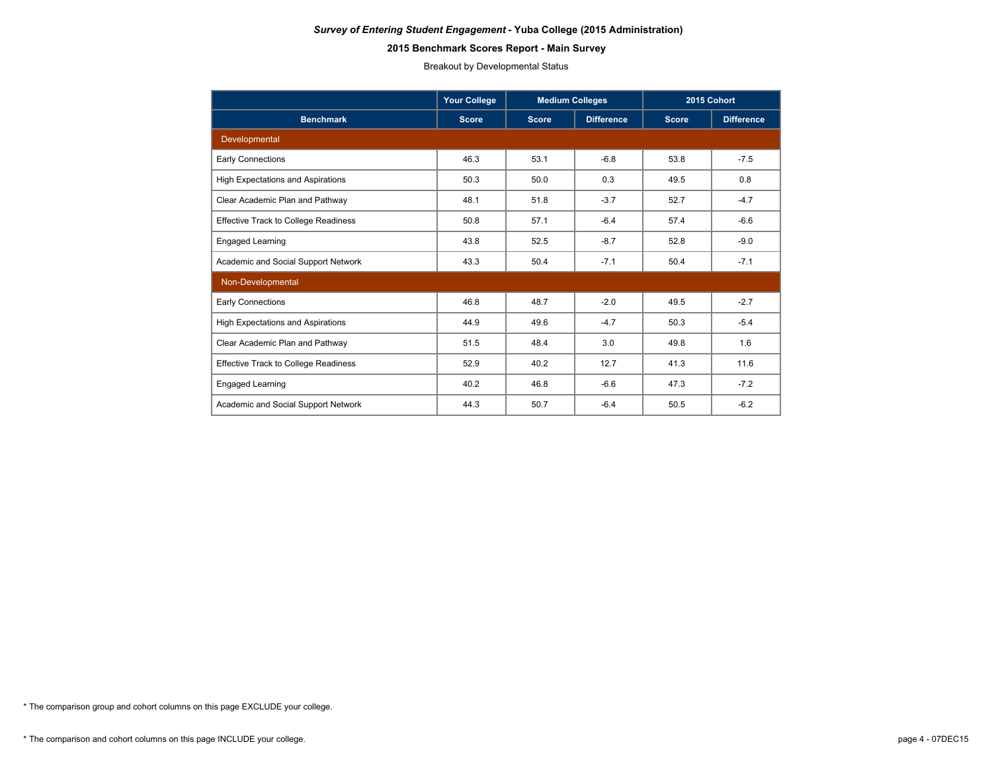## **2015 Benchmark Scores Report - Main Survey**

Breakout by Developmental Status

|                                             | <b>Your College</b> | <b>Medium Colleges</b> |                   | 2015 Cohort  |                   |
|---------------------------------------------|---------------------|------------------------|-------------------|--------------|-------------------|
| <b>Benchmark</b>                            | <b>Score</b>        | <b>Score</b>           | <b>Difference</b> | <b>Score</b> | <b>Difference</b> |
| Developmental                               |                     |                        |                   |              |                   |
| Early Connections                           | 46.3                | 53.1                   | $-6.8$            | 53.8         | $-7.5$            |
| <b>High Expectations and Aspirations</b>    | 50.3                | 50.0                   | 0.3               | 49.5         | 0.8               |
| Clear Academic Plan and Pathway             | 48.1                | 51.8                   | $-3.7$            | 52.7         | $-4.7$            |
| <b>Effective Track to College Readiness</b> | 50.8                | 57.1                   | $-6.4$            | 57.4         | $-6.6$            |
| <b>Engaged Learning</b>                     | 43.8                | 52.5                   | $-8.7$            | 52.8         | $-9.0$            |
| Academic and Social Support Network         | 43.3                | 50.4                   | $-7.1$            | 50.4         | $-7.1$            |
| Non-Developmental                           |                     |                        |                   |              |                   |
| <b>Early Connections</b>                    | 46.8                | 48.7                   | $-2.0$            | 49.5         | $-2.7$            |
| <b>High Expectations and Aspirations</b>    | 44.9                | 49.6                   | $-4.7$            | 50.3         | $-5.4$            |
| Clear Academic Plan and Pathway             | 51.5                | 48.4                   | 3.0               | 49.8         | 1.6               |
| <b>Effective Track to College Readiness</b> | 52.9                | 40.2                   | 12.7<br>41.3      |              | 11.6              |
| Engaged Learning                            | 40.2                | 46.8                   | $-6.6$            | 47.3         | $-7.2$            |
| Academic and Social Support Network         | 44.3                | 50.7                   | $-6.4$            | 50.5         | $-6.2$            |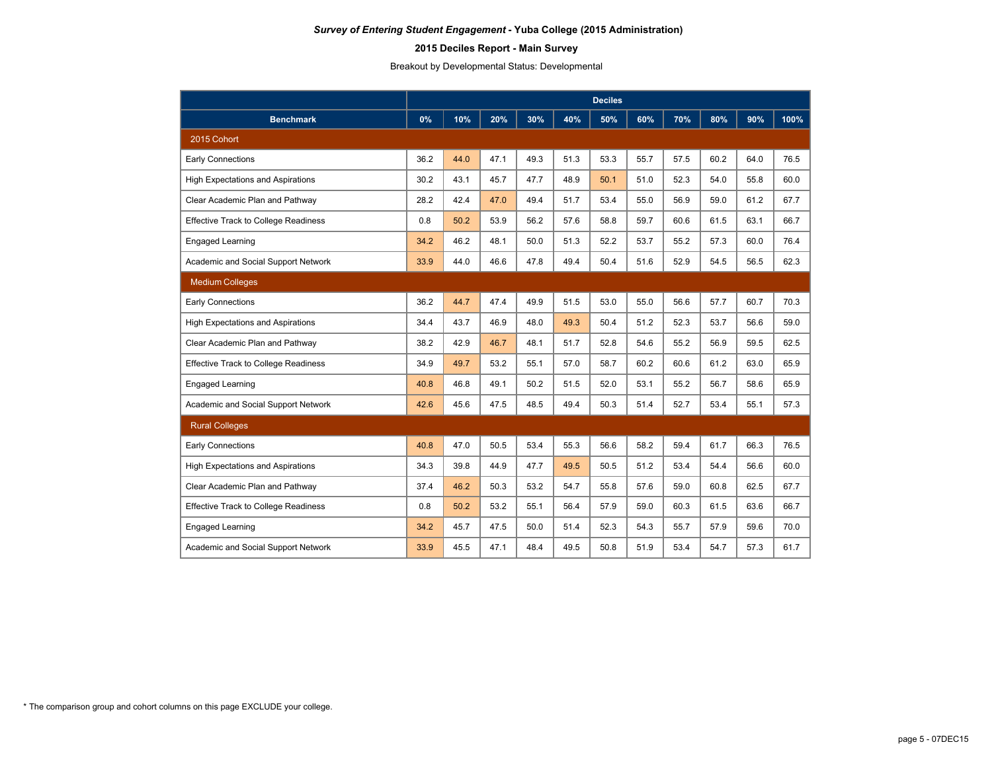# **2015 Deciles Report - Main Survey**

Breakout by Developmental Status: Developmental

|                                             | <b>Deciles</b> |      |      |      |      |      |      |      |      |      |      |
|---------------------------------------------|----------------|------|------|------|------|------|------|------|------|------|------|
| <b>Benchmark</b>                            | 0%             | 10%  | 20%  | 30%  | 40%  | 50%  | 60%  | 70%  | 80%  | 90%  | 100% |
| 2015 Cohort                                 |                |      |      |      |      |      |      |      |      |      |      |
| <b>Early Connections</b>                    | 36.2           | 44.0 | 47.1 | 49.3 | 51.3 | 53.3 | 55.7 | 57.5 | 60.2 | 64.0 | 76.5 |
| <b>High Expectations and Aspirations</b>    | 30.2           | 43.1 | 45.7 | 47.7 | 48.9 | 50.1 | 51.0 | 52.3 | 54.0 | 55.8 | 60.0 |
| Clear Academic Plan and Pathway             | 28.2           | 42.4 | 47.0 | 49.4 | 51.7 | 53.4 | 55.0 | 56.9 | 59.0 | 61.2 | 67.7 |
| <b>Effective Track to College Readiness</b> | 0.8            | 50.2 | 53.9 | 56.2 | 57.6 | 58.8 | 59.7 | 60.6 | 61.5 | 63.1 | 66.7 |
| Engaged Learning                            | 34.2           | 46.2 | 48.1 | 50.0 | 51.3 | 52.2 | 53.7 | 55.2 | 57.3 | 60.0 | 76.4 |
| Academic and Social Support Network         | 33.9           | 44.0 | 46.6 | 47.8 | 49.4 | 50.4 | 51.6 | 52.9 | 54.5 | 56.5 | 62.3 |
| <b>Medium Colleges</b>                      |                |      |      |      |      |      |      |      |      |      |      |
| Early Connections                           | 36.2           | 44.7 | 47.4 | 49.9 | 51.5 | 53.0 | 55.0 | 56.6 | 57.7 | 60.7 | 70.3 |
| <b>High Expectations and Aspirations</b>    | 34.4           | 43.7 | 46.9 | 48.0 | 49.3 | 50.4 | 51.2 | 52.3 | 53.7 | 56.6 | 59.0 |
| Clear Academic Plan and Pathway             | 38.2           | 42.9 | 46.7 | 48.1 | 51.7 | 52.8 | 54.6 | 55.2 | 56.9 | 59.5 | 62.5 |
| <b>Effective Track to College Readiness</b> | 34.9           | 49.7 | 53.2 | 55.1 | 57.0 | 58.7 | 60.2 | 60.6 | 61.2 | 63.0 | 65.9 |
| <b>Engaged Learning</b>                     | 40.8           | 46.8 | 49.1 | 50.2 | 51.5 | 52.0 | 53.1 | 55.2 | 56.7 | 58.6 | 65.9 |
| Academic and Social Support Network         | 42.6           | 45.6 | 47.5 | 48.5 | 49.4 | 50.3 | 51.4 | 52.7 | 53.4 | 55.1 | 57.3 |
| <b>Rural Colleges</b>                       |                |      |      |      |      |      |      |      |      |      |      |
| <b>Early Connections</b>                    | 40.8           | 47.0 | 50.5 | 53.4 | 55.3 | 56.6 | 58.2 | 59.4 | 61.7 | 66.3 | 76.5 |
| <b>High Expectations and Aspirations</b>    | 34.3           | 39.8 | 44.9 | 47.7 | 49.5 | 50.5 | 51.2 | 53.4 | 54.4 | 56.6 | 60.0 |
| Clear Academic Plan and Pathway             | 37.4           | 46.2 | 50.3 | 53.2 | 54.7 | 55.8 | 57.6 | 59.0 | 60.8 | 62.5 | 67.7 |
| <b>Effective Track to College Readiness</b> | 0.8            | 50.2 | 53.2 | 55.1 | 56.4 | 57.9 | 59.0 | 60.3 | 61.5 | 63.6 | 66.7 |
| <b>Engaged Learning</b>                     | 34.2           | 45.7 | 47.5 | 50.0 | 51.4 | 52.3 | 54.3 | 55.7 | 57.9 | 59.6 | 70.0 |
| Academic and Social Support Network         | 33.9           | 45.5 | 47.1 | 48.4 | 49.5 | 50.8 | 51.9 | 53.4 | 54.7 | 57.3 | 61.7 |